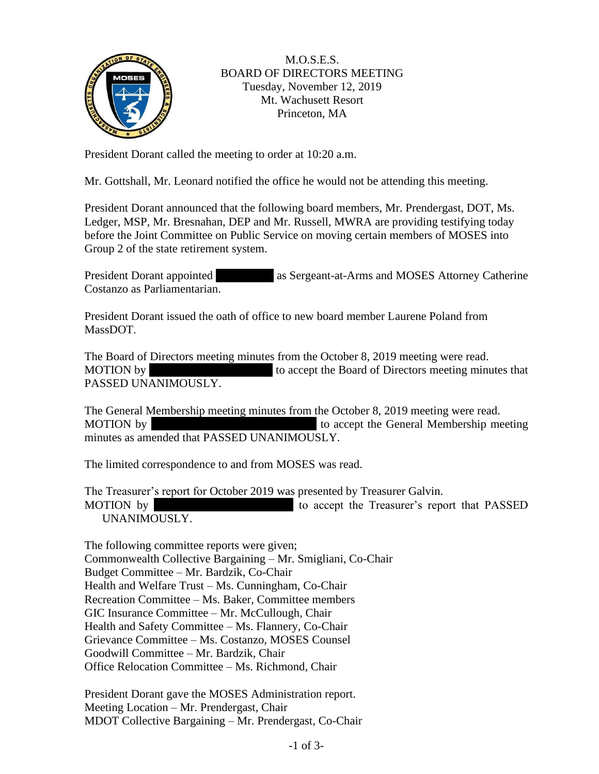

## M.O.S.E.S. BOARD OF DIRECTORS MEETING Tuesday, November 12, 2019 Mt. Wachusett Resort Princeton, MA

President Dorant called the meeting to order at 10:20 a.m.

Mr. Gottshall, Mr. Leonard notified the office he would not be attending this meeting.

President Dorant announced that the following board members, Mr. Prendergast, DOT, Ms. Ledger, MSP, Mr. Bresnahan, DEP and Mr. Russell, MWRA are providing testifying today before the Joint Committee on Public Service on moving certain members of MOSES into Group 2 of the state retirement system.

President Dorant appointed as Sergeant-at-Arms and MOSES Attorney Catherine Costanzo as Parliamentarian.

President Dorant issued the oath of office to new board member Laurene Poland from MassDOT.

The Board of Directors meeting minutes from the October 8, 2019 meeting were read. MOTION by to accept the Board of Directors meeting minutes that PASSED UNANIMOUSLY.

The General Membership meeting minutes from the October 8, 2019 meeting were read. MOTION by MOTION by to accept the General Membership meeting minutes as amended that PASSED UNANIMOUSLY.

The limited correspondence to and from MOSES was read.

The Treasurer's report for October 2019 was presented by Treasurer Galvin. MOTION by MOTION by to accept the Treasurer's report that PASSED UNANIMOUSLY.

The following committee reports were given; Commonwealth Collective Bargaining – Mr. Smigliani, Co-Chair Budget Committee – Mr. Bardzik, Co-Chair Health and Welfare Trust – Ms. Cunningham, Co-Chair Recreation Committee – Ms. Baker, Committee members GIC Insurance Committee – Mr. McCullough, Chair Health and Safety Committee – Ms. Flannery, Co-Chair Grievance Committee – Ms. Costanzo, MOSES Counsel Goodwill Committee – Mr. Bardzik, Chair Office Relocation Committee – Ms. Richmond, Chair

President Dorant gave the MOSES Administration report. Meeting Location – Mr. Prendergast, Chair MDOT Collective Bargaining – Mr. Prendergast, Co-Chair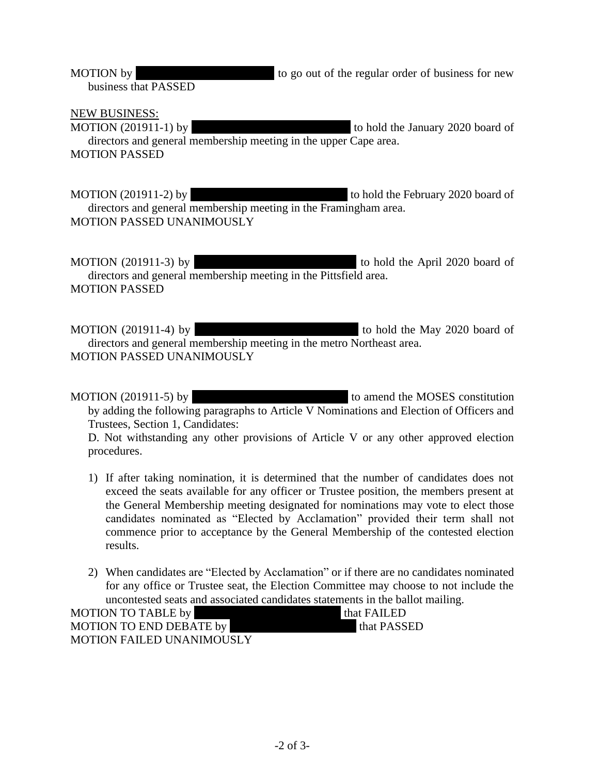MOTION by to go out of the regular order of business for new business that PASSED

NEW BUSINESS:

MOTION (201911-1) by to hold the January 2020 board of directors and general membership meeting in the upper Cape area. MOTION PASSED

MOTION (201911-2) by to hold the February 2020 board of directors and general membership meeting in the Framingham area. MOTION PASSED UNANIMOUSLY

MOTION (201911-3) by to hold the April 2020 board of directors and general membership meeting in the Pittsfield area. MOTION PASSED

MOTION (201911-4) by to hold the May 2020 board of directors and general membership meeting in the metro Northeast area. MOTION PASSED UNANIMOUSLY

MOTION  $(201911-5)$  by  $\qquad \qquad$  to amend the MOSES constitution by adding the following paragraphs to Article V Nominations and Election of Officers and Trustees, Section 1, Candidates:

D. Not withstanding any other provisions of Article V or any other approved election procedures.

- 1) If after taking nomination, it is determined that the number of candidates does not exceed the seats available for any officer or Trustee position, the members present at the General Membership meeting designated for nominations may vote to elect those candidates nominated as "Elected by Acclamation" provided their term shall not commence prior to acceptance by the General Membership of the contested election results.
- 2) When candidates are "Elected by Acclamation" or if there are no candidates nominated for any office or Trustee seat, the Election Committee may choose to not include the uncontested seats and associated candidates statements in the ballot mailing.

| <b>MOTION TO TABLE by</b>        | $\mathsf{I}$ that $\mathsf{FAILED}$ |
|----------------------------------|-------------------------------------|
| <b>MOTION TO END DEBATE by</b>   | that PASSED                         |
| <b>MOTION FAILED UNANIMOUSLY</b> |                                     |